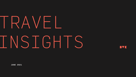# TRAVEL INSIGHTS

JUNE 2021

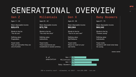# GENERATIONAL OVERVIEW

250 w coventry court | milwaukee, wi 53217 | 414.228.1990 | bvk.com

### Gen Z Fillenials (Gen X Saby Boomers

SOURCE: KANTAR



Ages 11 - 24

Mean disposable income \$29,478

Words to live by: "You do you"

Defining value: Pragmatism

Travel motto: Trips are best when they are one-of-a-kind.

Ages 25 - 42

Mean disposable income \$75,796

Words to live by: "You only live once"

Defining value: Authenticity

| % of       | Gen Z 13%        |  |
|------------|------------------|--|
| population | Millenials 24%   |  |
|            | Gen X 17%        |  |
|            | Baby Boomers 21% |  |

Travel motto: Travel experiences are investments in social currency.

Ages 43 - 56

Mean disposable income \$93,964

Words to live by: "You're on your own"

Defining value: Self-Reliance

Travel motto: Return to travel on your own terms.

Ages 57 - 75

Mean disposable income \$66,542

Words to live by: "Forever young"

Defining value: Individuality

Travel motto: Vacations with loved ones keep me young.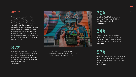# 37%

# 34%

said that social media posts with cliché captions such as 'catch flights, not feelings' were their biggest pet peeves and would not appear in their own feeds when they next travel.

– TRAVEL PULSE

### 79% A National Retail Federation survey found that 79% of travel decisions are influenced by Gen Z.

of Gen Z disliked the ubiquitously staged tourist poses (like 'leaning' on the Leaning Tower of Pisa), and 29% found snaps of hotel rooms tiresome. -- TRAVEL PULSE

of Gen Zers with summer travel plans said they'll look to social media to help them prep, the same share who said they'll use travel sites.

– MORNING CONSULT

of 18 to 25-year-old Americans surveyed Gen Z uses social media to inform them<br>said that social media posts with cliché about travel, but they want to avoid cliché Gen Z uses social media to inform them about travel, but they want to avoid cliché posting, seeking to be more unique.



– WTM GLOBAL HUB

### GEN Z

Social media – fueled Gen Z crave unique travels. They seek inspiration from influencers but avoid clichés. Despite being disregarded as the youngest generation with the least spending power, Gen Z is a key segment for travel marketers as they are coming of age as travelers and could soon represent a significant share of travel spending. In the meantime, many are influencing their parents' travel decisions while others are making their own.

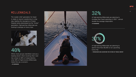



# 40%

of high-earning Millennials are planning to spend more than \$5,000 on an upcoming luxury trip. – TRIPADVISOR AND ACCENTURE THE FUTURE OF TRAVEL REPORT



of high-earning Millennials are planning to increase their travel spending in 2021 - almost double the average respondent. – PR NEWSWIRE

### MILLENNIALS

The 'poster child' generation for travel is ready to resume vacationing in a big way, leading the resurgence of travel. Despite being stereotyped as the "broke" generation, high-earning millennials are looking to splurge on luxury trips.



While most groups identified cost as a leading factor when booking their next trip (close to 60% of respondents), only 40% of high-income Millennials listed this as a concern.

– PR NEWSWIRE

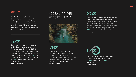25%

# 76%

# 52%

Gen X is in their prime career age, making up a decent percentage of business travelers. While corporate travel is nowhere near pre-COVID levels, 25% of those surveyed plan to travel for work in the next six months. Of those corporate travelers, 10% will make their trip "bleisure" style, blending work and pleasure. -- EXPEDIA GROUP

Gen X is one of the less eager travel groups with 64% traveling compared to 66% of Boomers and 69% of

Millennials. -- EXPEDIA GROUP



of business travelers said COVID-19 has harmed their ability to maintain relationships with clients and/or business partners and nearly 85% said they are eager for the pandemic to be over so they can travel again.

– INSURANCE JOURNAL

Gen X are also new empty nesters, an ideal travel opportunity segment. A previous study found that 52% of over-50s said they've changed the way they approach travel, aligning with the ages of kids leaving home. 67% of this group says they travel more frequently with 34% traveling to more exotic destinations.

– NATIONAL GEOGRAPHIC



### "IDEAL TRAVEL OPPORTUNITY"



### GEN X

The Gen X audience is hesitant to return to travel, but as a group in the height of their parenting and career, they are gradually returning with both business and leisure trips. This is an opportunity segment for travel brands to keep an eye on for the long run.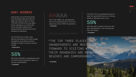– PR NEWSWIRE



For the first time in nearly a year, Seniors are traveling more than younger generations, sixty percent of whom will take a vacation during the summer months.

- EXPEDIA GROUP

Two in five (42%) U.S. grandparents have had a grandchild born since the beginning of the COVID-19 pandemic.

– PR NEWSWIRE

One-fifth (21%) of grandparents said at least one grandchild lives out of driving distance, although three in five

said they plan to spend more time with their grandchildren in the coming year



than ever before. – PR NEWSWIRE

# 56%

More than half (56%) of grandparents said the first trip they're planning to take is to see their grandchildren.

59%

## "THE TOP THREE PLACES THAT GRANDPARENTS ARE MOST LOOKING FORWARD TO VISITING WITH THEIR GRANDKIDS ARE MOUNTAINS BEACHES AND CAMPGROUNDS."

– PR NEWSWIRE



### BABY BOOMERS

Having been one of the first groups fully vaccinated, Baby Boomers are eager and ready to return to travel. They feel invincible and young again, being motivated to re-connect with loved ones after missing out on precious family memories due to the pandemic's restrictions.